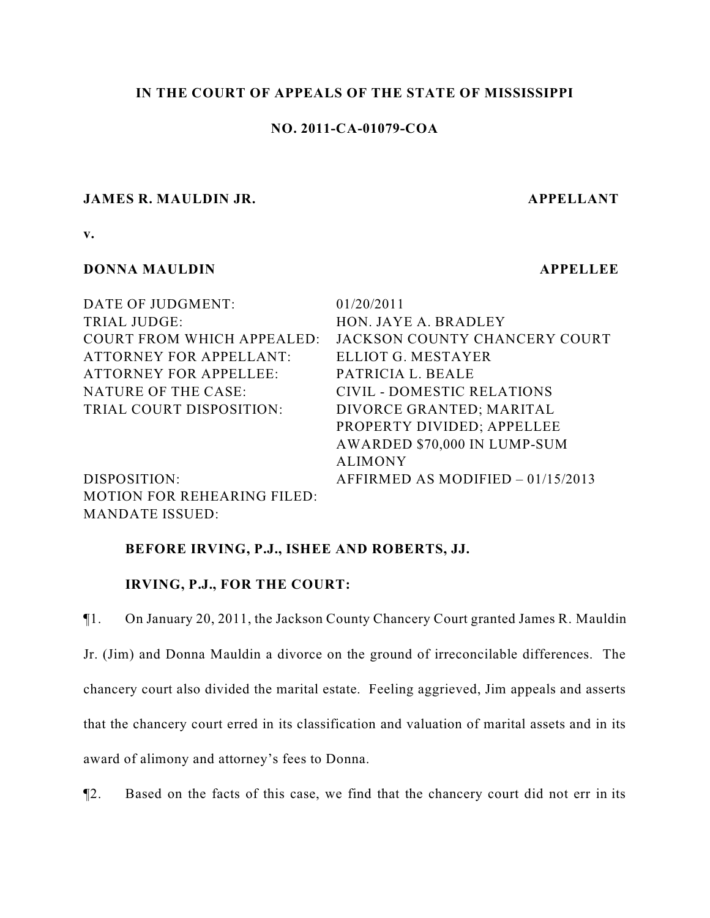# **IN THE COURT OF APPEALS OF THE STATE OF MISSISSIPPI**

# **NO. 2011-CA-01079-COA**

# **JAMES R. MAULDIN JR. APPELLANT**

**v.**

# **DONNA MAULDIN APPELLEE**

MANDATE ISSUED:

| 01/20/2011                         |
|------------------------------------|
| HON. JAYE A. BRADLEY               |
| JACKSON COUNTY CHANCERY COURT      |
| ELLIOT G. MESTAYER                 |
| PATRICIA L. BEALE                  |
| CIVIL - DOMESTIC RELATIONS         |
| DIVORCE GRANTED; MARITAL           |
| PROPERTY DIVIDED; APPELLEE         |
| AWARDED \$70,000 IN LUMP-SUM       |
| <b>ALIMONY</b>                     |
| AFFIRMED AS MODIFIED $-01/15/2013$ |
|                                    |
|                                    |

## **BEFORE IRVING, P.J., ISHEE AND ROBERTS, JJ.**

## **IRVING, P.J., FOR THE COURT:**

¶1. On January 20, 2011, the Jackson County Chancery Court granted James R. Mauldin Jr. (Jim) and Donna Mauldin a divorce on the ground of irreconcilable differences. The chancery court also divided the marital estate. Feeling aggrieved, Jim appeals and asserts that the chancery court erred in its classification and valuation of marital assets and in its award of alimony and attorney's fees to Donna.

¶2. Based on the facts of this case, we find that the chancery court did not err in its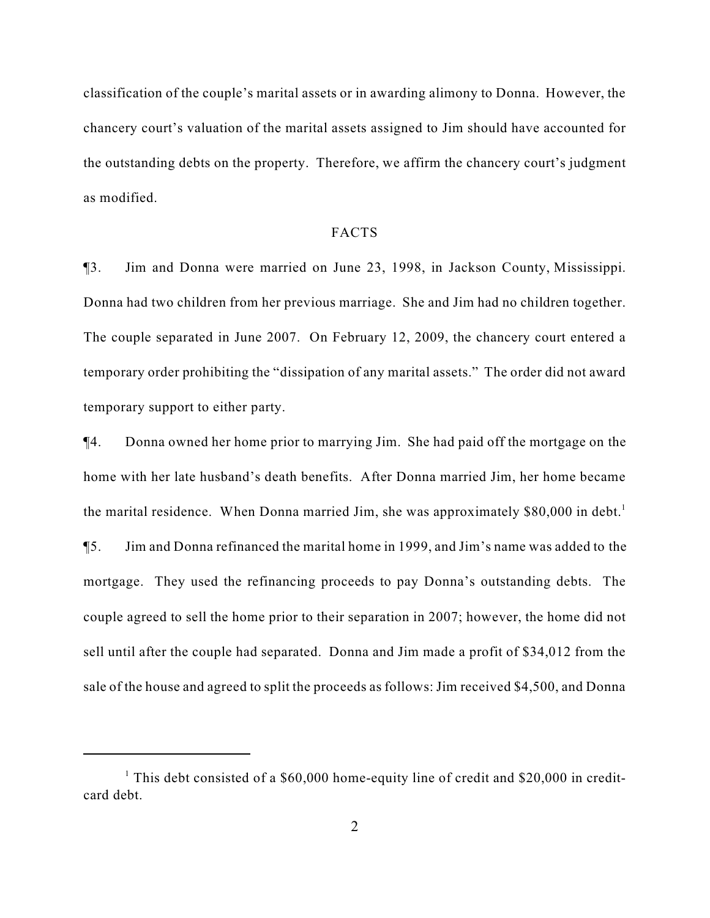classification of the couple's marital assets or in awarding alimony to Donna. However, the chancery court's valuation of the marital assets assigned to Jim should have accounted for the outstanding debts on the property. Therefore, we affirm the chancery court's judgment as modified.

### FACTS

¶3. Jim and Donna were married on June 23, 1998, in Jackson County, Mississippi. Donna had two children from her previous marriage. She and Jim had no children together. The couple separated in June 2007. On February 12, 2009, the chancery court entered a temporary order prohibiting the "dissipation of any marital assets." The order did not award temporary support to either party.

¶4. Donna owned her home prior to marrying Jim. She had paid off the mortgage on the home with her late husband's death benefits. After Donna married Jim, her home became the marital residence. When Donna married Jim, she was approximately  $$80,000$  in debt.<sup>1</sup> ¶5. Jim and Donna refinanced the marital home in 1999, and Jim's name was added to the mortgage. They used the refinancing proceeds to pay Donna's outstanding debts. The couple agreed to sell the home prior to their separation in 2007; however, the home did not sell until after the couple had separated. Donna and Jim made a profit of \$34,012 from the sale of the house and agreed to split the proceeds as follows: Jim received \$4,500, and Donna

<sup>&</sup>lt;sup>1</sup> This debt consisted of a  $$60,000$  home-equity line of credit and  $$20,000$  in creditcard debt.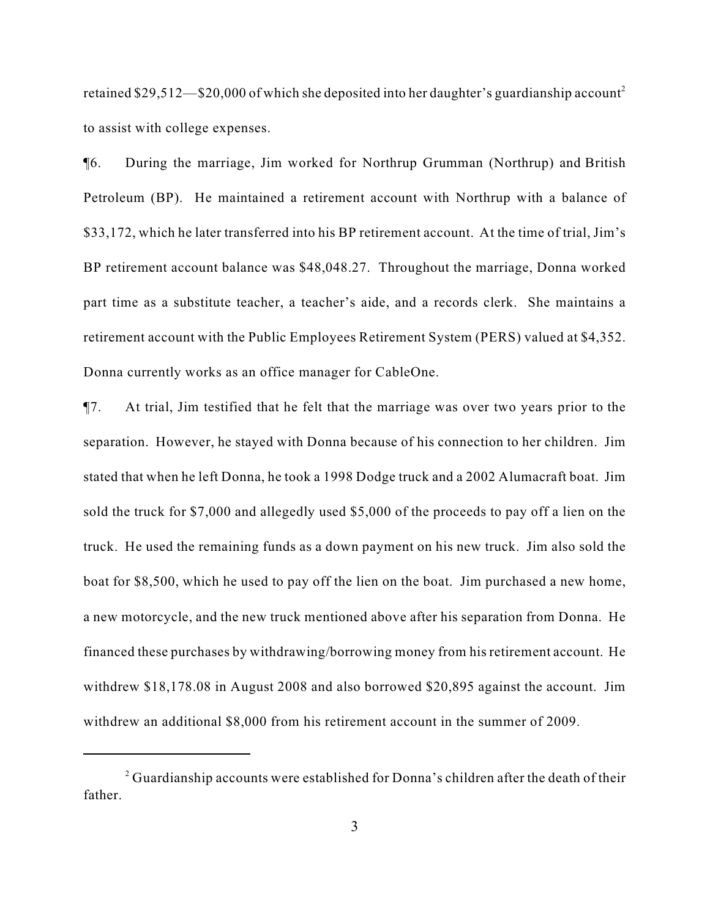retained \$29,512—\$20,000 of which she deposited into her daughter's guardianship account<sup>2</sup> to assist with college expenses.

¶6. During the marriage, Jim worked for Northrup Grumman (Northrup) and British Petroleum (BP). He maintained a retirement account with Northrup with a balance of \$33,172, which he later transferred into his BP retirement account. At the time of trial, Jim's BP retirement account balance was \$48,048.27. Throughout the marriage, Donna worked part time as a substitute teacher, a teacher's aide, and a records clerk. She maintains a retirement account with the Public Employees Retirement System (PERS) valued at \$4,352. Donna currently works as an office manager for CableOne.

¶7. At trial, Jim testified that he felt that the marriage was over two years prior to the separation. However, he stayed with Donna because of his connection to her children. Jim stated that when he left Donna, he took a 1998 Dodge truck and a 2002 Alumacraft boat. Jim sold the truck for \$7,000 and allegedly used \$5,000 of the proceeds to pay off a lien on the truck. He used the remaining funds as a down payment on his new truck. Jim also sold the boat for \$8,500, which he used to pay off the lien on the boat. Jim purchased a new home, a new motorcycle, and the new truck mentioned above after his separation from Donna. He financed these purchases by withdrawing/borrowing money from his retirement account. He withdrew \$18,178.08 in August 2008 and also borrowed \$20,895 against the account. Jim withdrew an additional \$8,000 from his retirement account in the summer of 2009.

 $\alpha$ <sup>2</sup> Guardianship accounts were established for Donna's children after the death of their father.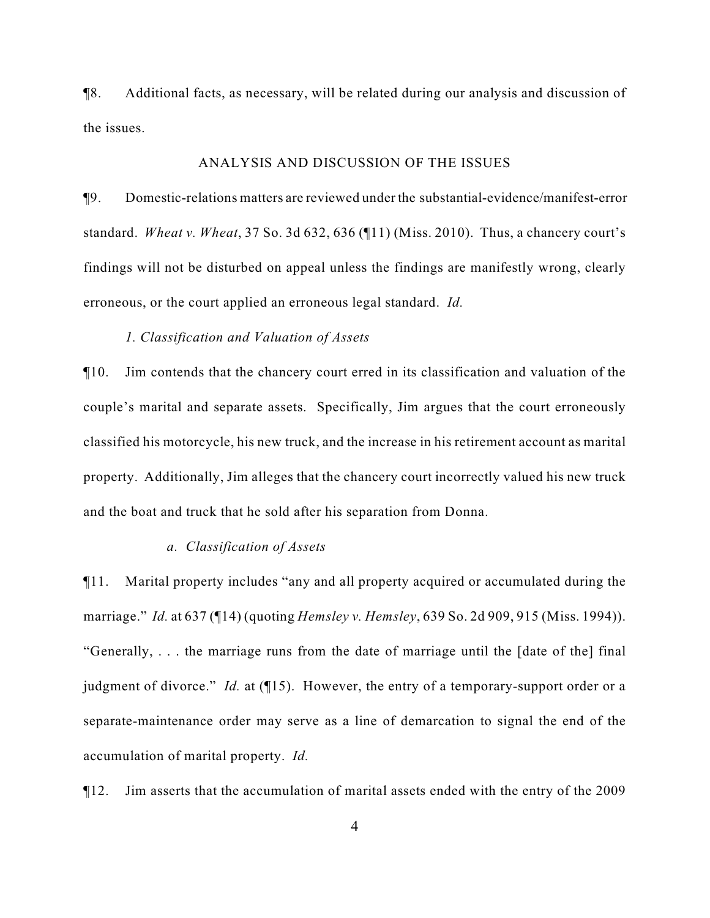¶8. Additional facts, as necessary, will be related during our analysis and discussion of the issues.

#### ANALYSIS AND DISCUSSION OF THE ISSUES

¶9. Domestic-relations matters are reviewed under the substantial-evidence/manifest-error standard. *Wheat v. Wheat*, 37 So. 3d 632, 636 (¶11) (Miss. 2010). Thus, a chancery court's findings will not be disturbed on appeal unless the findings are manifestly wrong, clearly erroneous, or the court applied an erroneous legal standard. *Id.*

### *1. Classification and Valuation of Assets*

¶10. Jim contends that the chancery court erred in its classification and valuation of the couple's marital and separate assets. Specifically, Jim argues that the court erroneously classified his motorcycle, his new truck, and the increase in his retirement account as marital property. Additionally, Jim alleges that the chancery court incorrectly valued his new truck and the boat and truck that he sold after his separation from Donna.

#### *a. Classification of Assets*

¶11. Marital property includes "any and all property acquired or accumulated during the marriage." *Id.* at 637 (¶14) (quoting *Hemsley v. Hemsley*, 639 So. 2d 909, 915 (Miss. 1994)). "Generally, . . . the marriage runs from the date of marriage until the [date of the] final judgment of divorce." *Id.* at (15). However, the entry of a temporary-support order or a separate-maintenance order may serve as a line of demarcation to signal the end of the accumulation of marital property. *Id.*

¶12. Jim asserts that the accumulation of marital assets ended with the entry of the 2009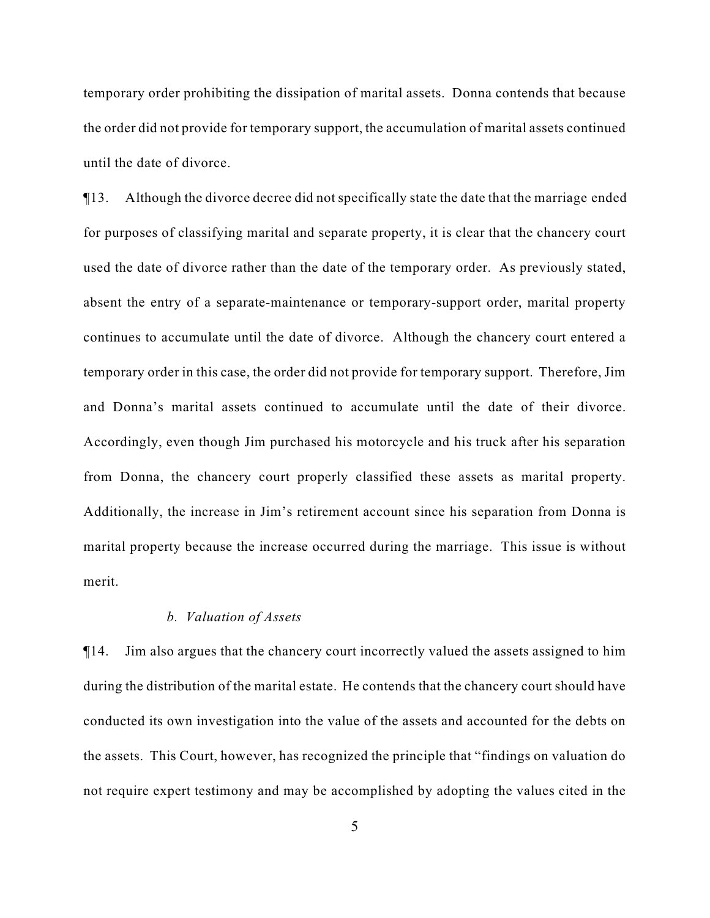temporary order prohibiting the dissipation of marital assets. Donna contends that because the order did not provide for temporary support, the accumulation of marital assets continued until the date of divorce.

¶13. Although the divorce decree did not specifically state the date that the marriage ended for purposes of classifying marital and separate property, it is clear that the chancery court used the date of divorce rather than the date of the temporary order. As previously stated, absent the entry of a separate-maintenance or temporary-support order, marital property continues to accumulate until the date of divorce. Although the chancery court entered a temporary order in this case, the order did not provide for temporary support. Therefore, Jim and Donna's marital assets continued to accumulate until the date of their divorce. Accordingly, even though Jim purchased his motorcycle and his truck after his separation from Donna, the chancery court properly classified these assets as marital property. Additionally, the increase in Jim's retirement account since his separation from Donna is marital property because the increase occurred during the marriage. This issue is without merit.

#### *b. Valuation of Assets*

¶14. Jim also argues that the chancery court incorrectly valued the assets assigned to him during the distribution of the marital estate. He contends that the chancery court should have conducted its own investigation into the value of the assets and accounted for the debts on the assets. This Court, however, has recognized the principle that "findings on valuation do not require expert testimony and may be accomplished by adopting the values cited in the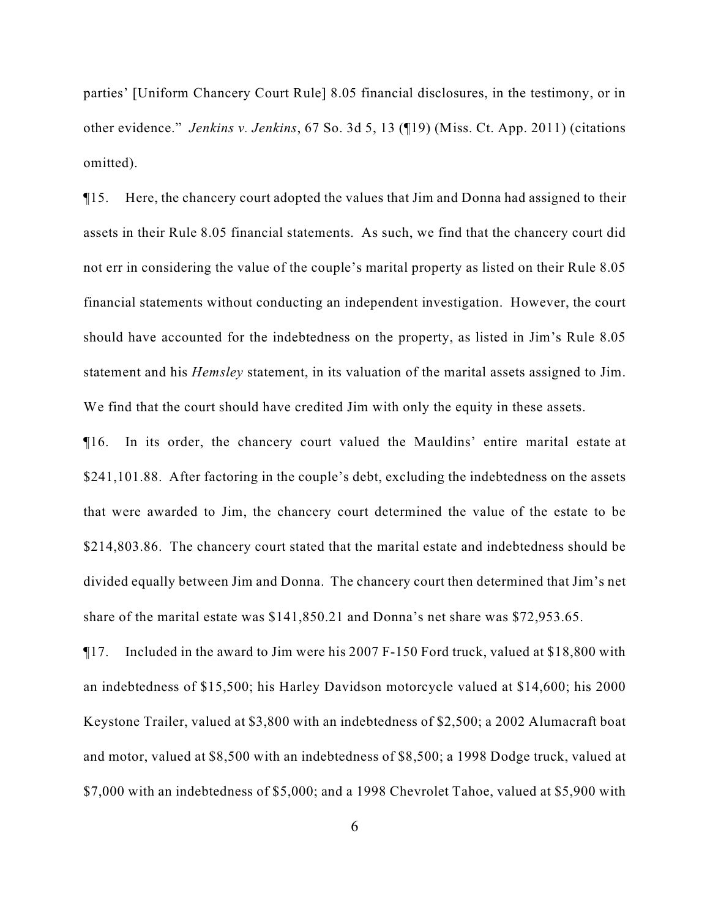parties' [Uniform Chancery Court Rule] 8.05 financial disclosures, in the testimony, or in other evidence." *Jenkins v. Jenkins*, 67 So. 3d 5, 13 (¶19) (Miss. Ct. App. 2011) (citations omitted).

¶15. Here, the chancery court adopted the values that Jim and Donna had assigned to their assets in their Rule 8.05 financial statements. As such, we find that the chancery court did not err in considering the value of the couple's marital property as listed on their Rule 8.05 financial statements without conducting an independent investigation. However, the court should have accounted for the indebtedness on the property, as listed in Jim's Rule 8.05 statement and his *Hemsley* statement, in its valuation of the marital assets assigned to Jim. We find that the court should have credited Jim with only the equity in these assets.

¶16. In its order, the chancery court valued the Mauldins' entire marital estate at \$241,101.88. After factoring in the couple's debt, excluding the indebtedness on the assets that were awarded to Jim, the chancery court determined the value of the estate to be \$214,803.86. The chancery court stated that the marital estate and indebtedness should be divided equally between Jim and Donna. The chancery court then determined that Jim's net share of the marital estate was \$141,850.21 and Donna's net share was \$72,953.65.

¶17. Included in the award to Jim were his 2007 F-150 Ford truck, valued at \$18,800 with an indebtedness of \$15,500; his Harley Davidson motorcycle valued at \$14,600; his 2000 Keystone Trailer, valued at \$3,800 with an indebtedness of \$2,500; a 2002 Alumacraft boat and motor, valued at \$8,500 with an indebtedness of \$8,500; a 1998 Dodge truck, valued at \$7,000 with an indebtedness of \$5,000; and a 1998 Chevrolet Tahoe, valued at \$5,900 with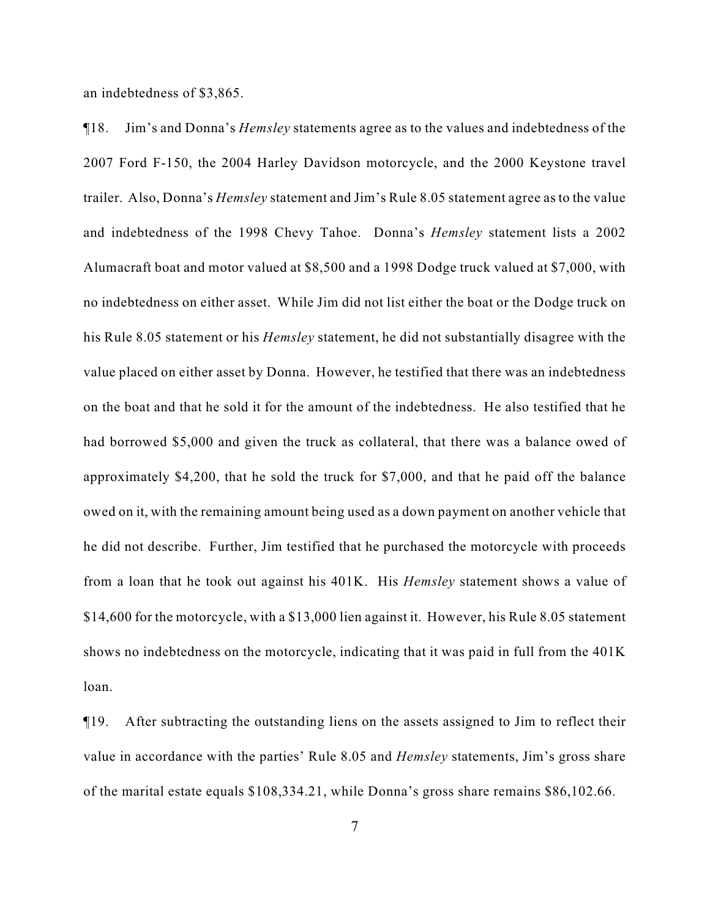an indebtedness of \$3,865.

¶18. Jim's and Donna's *Hemsley* statements agree as to the values and indebtedness of the 2007 Ford F-150, the 2004 Harley Davidson motorcycle, and the 2000 Keystone travel trailer. Also, Donna's *Hemsley* statement and Jim's Rule 8.05 statement agree as to the value and indebtedness of the 1998 Chevy Tahoe. Donna's *Hemsley* statement lists a 2002 Alumacraft boat and motor valued at \$8,500 and a 1998 Dodge truck valued at \$7,000, with no indebtedness on either asset. While Jim did not list either the boat or the Dodge truck on his Rule 8.05 statement or his *Hemsley* statement, he did not substantially disagree with the value placed on either asset by Donna. However, he testified that there was an indebtedness on the boat and that he sold it for the amount of the indebtedness. He also testified that he had borrowed \$5,000 and given the truck as collateral, that there was a balance owed of approximately \$4,200, that he sold the truck for \$7,000, and that he paid off the balance owed on it, with the remaining amount being used as a down payment on another vehicle that he did not describe. Further, Jim testified that he purchased the motorcycle with proceeds from a loan that he took out against his 401K. His *Hemsley* statement shows a value of \$14,600 for the motorcycle, with a \$13,000 lien against it. However, his Rule 8.05 statement shows no indebtedness on the motorcycle, indicating that it was paid in full from the 401K loan.

¶19. After subtracting the outstanding liens on the assets assigned to Jim to reflect their value in accordance with the parties' Rule 8.05 and *Hemsley* statements, Jim's gross share of the marital estate equals \$108,334.21, while Donna's gross share remains \$86,102.66.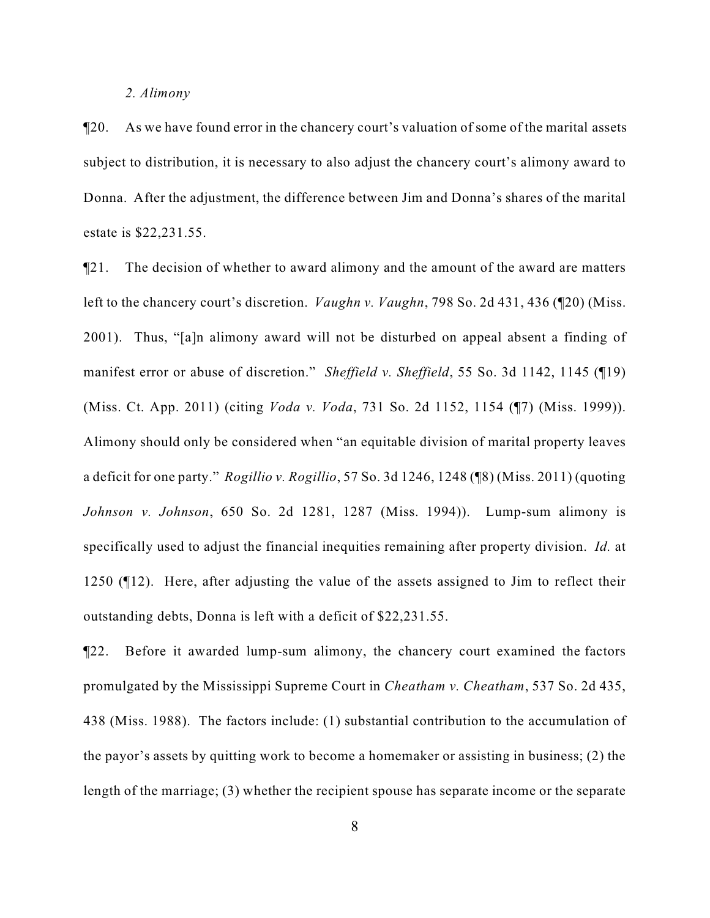#### *2. Alimony*

¶20. As we have found error in the chancery court's valuation of some of the marital assets subject to distribution, it is necessary to also adjust the chancery court's alimony award to Donna. After the adjustment, the difference between Jim and Donna's shares of the marital estate is \$22,231.55.

¶21. The decision of whether to award alimony and the amount of the award are matters left to the chancery court's discretion. *Vaughn v. Vaughn*, 798 So. 2d 431, 436 (¶20) (Miss. 2001). Thus, "[a]n alimony award will not be disturbed on appeal absent a finding of manifest error or abuse of discretion." *Sheffield v. Sheffield*, 55 So. 3d 1142, 1145 (¶19) (Miss. Ct. App. 2011) (citing *Voda v. Voda*, 731 So. 2d 1152, 1154 (¶7) (Miss. 1999)). Alimony should only be considered when "an equitable division of marital property leaves a deficit for one party." *Rogillio v. Rogillio*, 57 So. 3d 1246, 1248 (¶8) (Miss. 2011) (quoting *Johnson v. Johnson*, 650 So. 2d 1281, 1287 (Miss. 1994)). Lump-sum alimony is specifically used to adjust the financial inequities remaining after property division. *Id.* at 1250 (¶12). Here, after adjusting the value of the assets assigned to Jim to reflect their outstanding debts, Donna is left with a deficit of \$22,231.55.

¶22. Before it awarded lump-sum alimony, the chancery court examined the factors promulgated by the Mississippi Supreme Court in *Cheatham v. Cheatham*, 537 So. 2d 435, 438 (Miss. 1988). The factors include: (1) substantial contribution to the accumulation of the payor's assets by quitting work to become a homemaker or assisting in business; (2) the length of the marriage; (3) whether the recipient spouse has separate income or the separate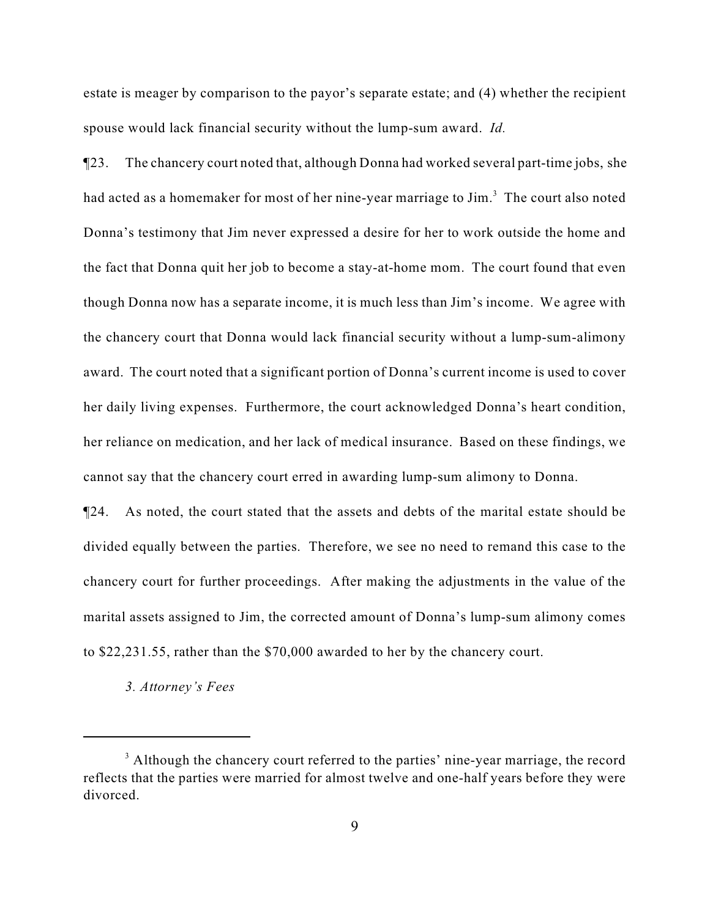estate is meager by comparison to the payor's separate estate; and (4) whether the recipient spouse would lack financial security without the lump-sum award. *Id.*

¶23. The chancery court noted that, although Donna had worked several part-time jobs, she had acted as a homemaker for most of her nine-year marriage to Jim.<sup>3</sup> The court also noted Donna's testimony that Jim never expressed a desire for her to work outside the home and the fact that Donna quit her job to become a stay-at-home mom. The court found that even though Donna now has a separate income, it is much less than Jim's income. We agree with the chancery court that Donna would lack financial security without a lump-sum-alimony award. The court noted that a significant portion of Donna's current income is used to cover her daily living expenses. Furthermore, the court acknowledged Donna's heart condition, her reliance on medication, and her lack of medical insurance. Based on these findings, we cannot say that the chancery court erred in awarding lump-sum alimony to Donna.

¶24. As noted, the court stated that the assets and debts of the marital estate should be divided equally between the parties. Therefore, we see no need to remand this case to the chancery court for further proceedings. After making the adjustments in the value of the marital assets assigned to Jim, the corrected amount of Donna's lump-sum alimony comes to \$22,231.55, rather than the \$70,000 awarded to her by the chancery court.

*3. Attorney's Fees*

<sup>&</sup>lt;sup>3</sup> Although the chancery court referred to the parties' nine-year marriage, the record reflects that the parties were married for almost twelve and one-half years before they were divorced.